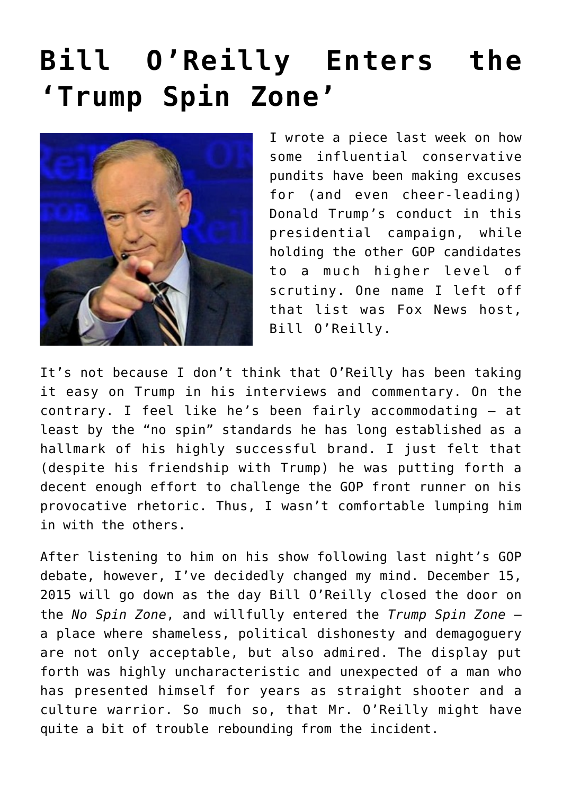## **[Bill O'Reilly Enters the](https://bernardgoldberg.com/bill-oreilly-enters-the-trump-spin-zone/) ['Trump Spin Zone'](https://bernardgoldberg.com/bill-oreilly-enters-the-trump-spin-zone/)**



I wrote [a piece last week](http://bernardgoldberg.com/rush-limbaugh-requests-a-silent-gop-majority-on-trump/) on how some influential conservative pundits have been making excuses for (and even cheer-leading) Donald Trump's conduct in this presidential campaign, while holding the other GOP candidates to a much higher level of scrutiny. One name I left off that list was Fox News host, Bill O'Reilly.

It's not because I don't think that O'Reilly has been taking it easy on Trump in his interviews and commentary. On the contrary. I feel like he's been fairly accommodating — at least by the "no spin" standards he has long established as a hallmark of his highly successful brand. I just felt that (despite his friendship with Trump) he was putting forth a decent enough effort to challenge the GOP front runner on his provocative rhetoric. Thus, I wasn't comfortable lumping him in with the others.

After listening to him on his show following last night's GOP debate, however, I've decidedly changed my mind. December 15, 2015 will go down as the day Bill O'Reilly closed the door on the *No Spin Zone*, and willfully entered the *Trump Spin Zone* a place where shameless, political dishonesty and demagoguery are not only acceptable, but also admired. The display put forth was highly uncharacteristic and unexpected of a man who has presented himself for years as straight shooter and a culture warrior. So much so, that Mr. O'Reilly might have quite a bit of trouble rebounding from the incident.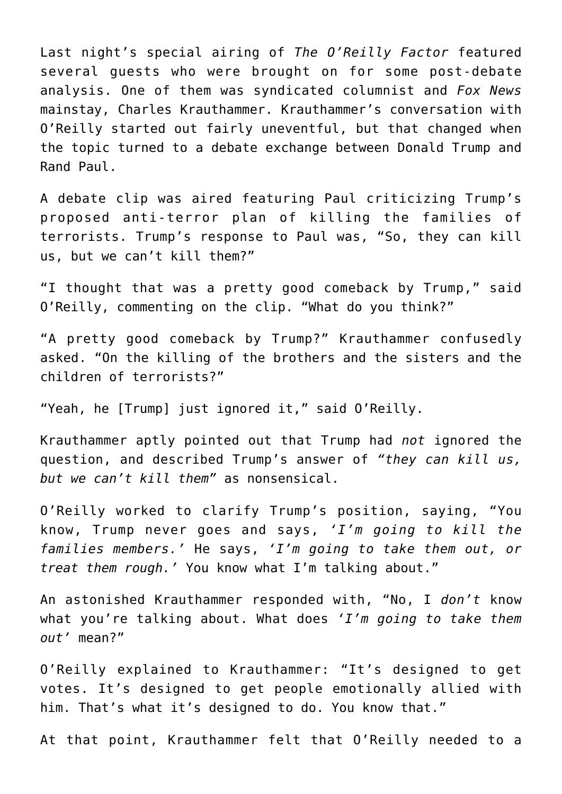Last night's special airing of *The O'Reilly Factor* featured several guests who were brought on for some post-debate analysis. One of them was syndicated columnist and *Fox News* mainstay, Charles Krauthammer. Krauthammer's conversation with O'Reilly started out fairly uneventful, but that changed when the topic turned to a debate exchange between Donald Trump and Rand Paul.

A debate clip was aired featuring Paul criticizing Trump's proposed anti-terror plan of killing the families of terrorists. Trump's response to Paul was, "So, they can kill us, but we can't kill them?"

"I thought that was a pretty good comeback by Trump," said O'Reilly, commenting on the clip. "What do you think?"

"A pretty good comeback by Trump?" Krauthammer confusedly asked. "On the killing of the brothers and the sisters and the children of terrorists?"

"Yeah, he [Trump] just ignored it," said O'Reilly.

Krauthammer aptly pointed out that Trump had *not* ignored the question, and described Trump's answer of *"they can kill us, but we can't kill them"* as nonsensical.

O'Reilly worked to clarify Trump's position, saying, "You know, Trump never goes and says, *'I'm going to kill the families members.'* He says, *'I'm going to take them out, or treat them rough.'* You know what I'm talking about."

An astonished Krauthammer responded with, "No, I *don't* know what you're talking about. What does *'I'm going to take them out'* mean?"

O'Reilly explained to Krauthammer: "It's designed to get votes. It's designed to get people emotionally allied with him. That's what it's designed to do. You know that."

At that point, Krauthammer felt that O'Reilly needed to a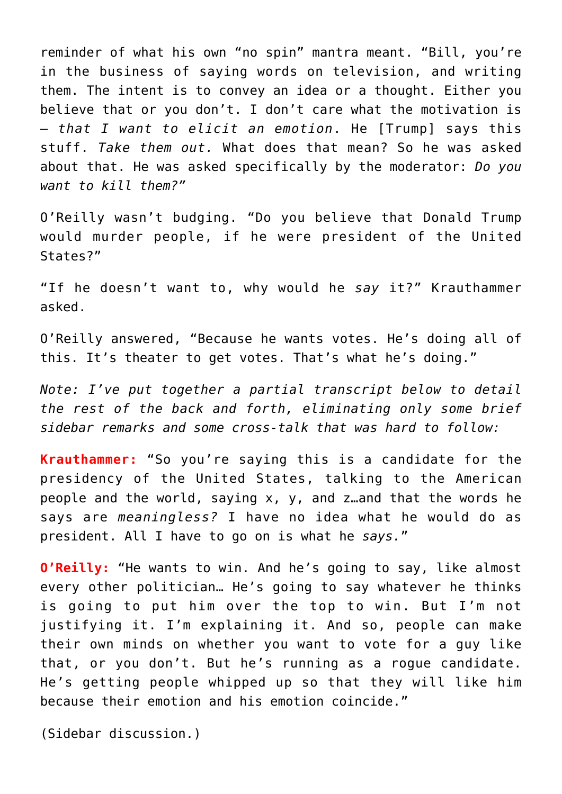reminder of what his own "no spin" mantra meant. "Bill, you're in the business of saying words on television, and writing them. The intent is to convey an idea or a thought. Either you believe that or you don't. I don't care what the motivation is — *that I want to elicit an emotion*. He [Trump] says this stuff. *Take them out.* What does that mean? So he was asked about that. He was asked specifically by the moderator: *Do you want to kill them?"*

O'Reilly wasn't budging. "Do you believe that Donald Trump would murder people, if he were president of the United States?"

"If he doesn't want to, why would he *say* it?" Krauthammer asked.

O'Reilly answered, "Because he wants votes. He's doing all of this. It's theater to get votes. That's what he's doing."

*Note: I've put together a partial transcript below to detail the rest of the back and forth, eliminating only some brief sidebar remarks and some cross-talk that was hard to follow:*

**Krauthammer:** "So you're saying this is a candidate for the presidency of the United States, talking to the American people and the world, saying x, y, and z…and that the words he says are *meaningless?* I have no idea what he would do as president. All I have to go on is what he *says.*"

**O'Reilly:** "He wants to win. And he's going to say, like almost every other politician… He's going to say whatever he thinks is going to put him over the top to win. But I'm not justifying it. I'm explaining it. And so, people can make their own minds on whether you want to vote for a guy like that, or you don't. But he's running as a rogue candidate. He's getting people whipped up so that they will like him because their emotion and his emotion coincide."

(Sidebar discussion.)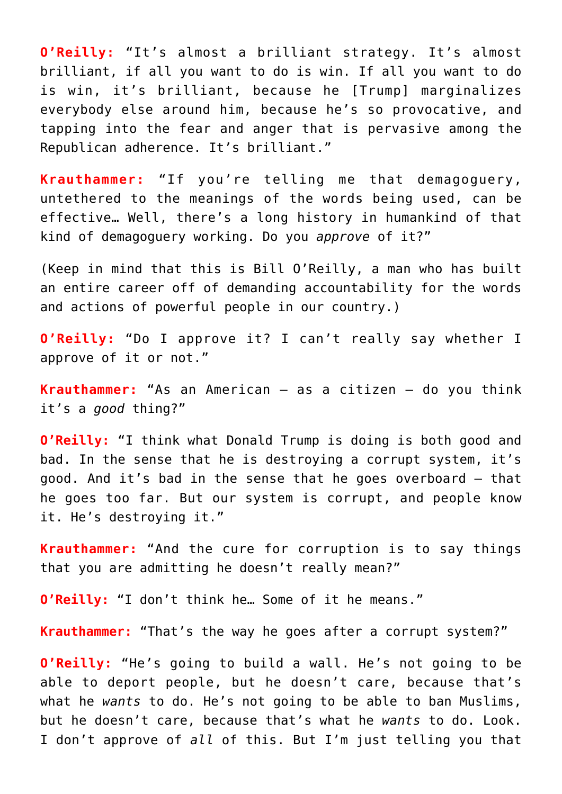**O'Reilly:** "It's almost a brilliant strategy. It's almost brilliant, if all you want to do is win. If all you want to do is win, it's brilliant, because he [Trump] marginalizes everybody else around him, because he's so provocative, and tapping into the fear and anger that is pervasive among the Republican adherence. It's brilliant."

**Krauthammer:** "If you're telling me that demagoguery, untethered to the meanings of the words being used, can be effective… Well, there's a long history in humankind of that kind of demagoguery working. Do you *approve* of it?"

(Keep in mind that this is Bill O'Reilly, a man who has built an entire career off of demanding accountability for the words and actions of powerful people in our country.)

**O'Reilly:** "Do I approve it? I can't really say whether I approve of it or not."

**Krauthammer:** "As an American — as a citizen — do you think it's a *good* thing?"

**O'Reilly:** "I think what Donald Trump is doing is both good and bad. In the sense that he is destroying a corrupt system, it's good. And it's bad in the sense that he goes overboard — that he goes too far. But our system is corrupt, and people know it. He's destroying it."

**Krauthammer:** "And the cure for corruption is to say things that you are admitting he doesn't really mean?"

**O'Reilly:** "I don't think he… Some of it he means."

**Krauthammer:** "That's the way he goes after a corrupt system?"

**O'Reilly:** "He's going to build a wall. He's not going to be able to deport people, but he doesn't care, because that's what he *wants* to do. He's not going to be able to ban Muslims, but he doesn't care, because that's what he *wants* to do. Look. I don't approve of *all* of this. But I'm just telling you that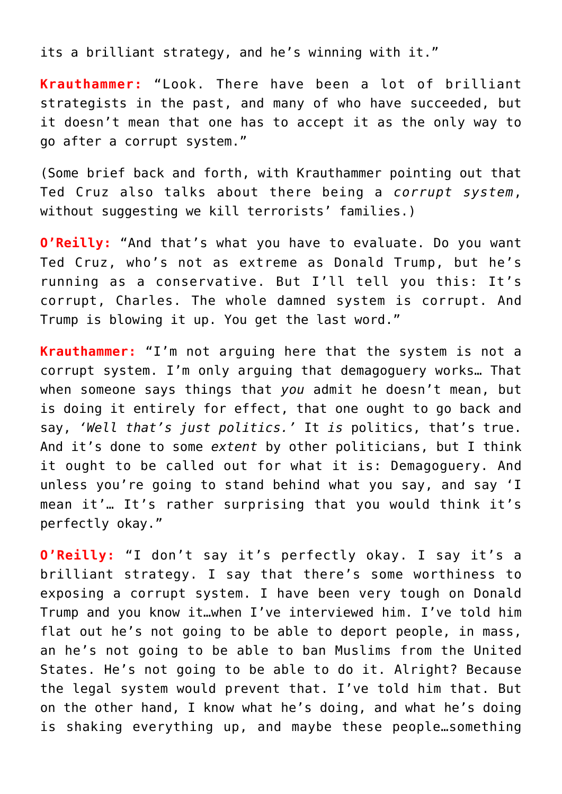its a brilliant strategy, and he's winning with it."

**Krauthammer:** "Look. There have been a lot of brilliant strategists in the past, and many of who have succeeded, but it doesn't mean that one has to accept it as the only way to go after a corrupt system."

(Some brief back and forth, with Krauthammer pointing out that Ted Cruz also talks about there being a *corrupt system*, without suggesting we kill terrorists' families.)

**O'Reilly:** "And that's what you have to evaluate. Do you want Ted Cruz, who's not as extreme as Donald Trump, but he's running as a conservative. But I'll tell you this: It's corrupt, Charles. The whole damned system is corrupt. And Trump is blowing it up. You get the last word."

**Krauthammer:** "I'm not arguing here that the system is not a corrupt system. I'm only arguing that demagoguery works… That when someone says things that *you* admit he doesn't mean, but is doing it entirely for effect, that one ought to go back and say, *'Well that's just politics.'* It *is* politics, that's true. And it's done to some *extent* by other politicians, but I think it ought to be called out for what it is: Demagoguery. And unless you're going to stand behind what you say, and say 'I mean it'… It's rather surprising that you would think it's perfectly okay."

**O'Reilly:** "I don't say it's perfectly okay. I say it's a brilliant strategy. I say that there's some worthiness to exposing a corrupt system. I have been very tough on Donald Trump and you know it…when I've interviewed him. I've told him flat out he's not going to be able to deport people, in mass, an he's not going to be able to ban Muslims from the United States. He's not going to be able to do it. Alright? Because the legal system would prevent that. I've told him that. But on the other hand, I know what he's doing, and what he's doing is shaking everything up, and maybe these people…something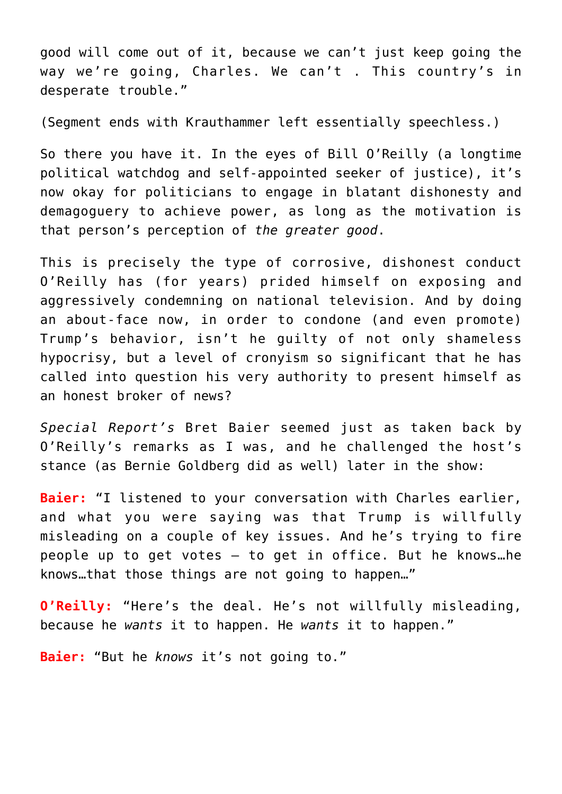good will come out of it, because we can't just keep going the way we're going, Charles. We can't . This country's in desperate trouble."

(Segment ends with Krauthammer left essentially speechless.)

So there you have it. In the eyes of Bill O'Reilly (a longtime political watchdog and self-appointed seeker of justice), it's now okay for politicians to engage in blatant dishonesty and demagoguery to achieve power, as long as the motivation is that person's perception of *the greater good*.

This is precisely the type of corrosive, dishonest conduct O'Reilly has (for years) prided himself on exposing and aggressively condemning on national television. And by doing an about-face now, in order to condone (and even promote) Trump's behavior, isn't he guilty of not only shameless hypocrisy, but a level of cronyism so significant that he has called into question his very authority to present himself as an honest broker of news?

*Special Report's* Bret Baier seemed just as taken back by O'Reilly's remarks as I was, and he challenged the host's stance (as Bernie Goldberg did as well) later in the show:

**Baier:** "I listened to your conversation with Charles earlier, and what you were saying was that Trump is willfully misleading on a couple of key issues. And he's trying to fire people up to get votes — to get in office. But he knows…he knows…that those things are not going to happen…"

**O'Reilly:** "Here's the deal. He's not willfully misleading, because he *wants* it to happen. He *wants* it to happen."

**Baier:** "But he *knows* it's not going to."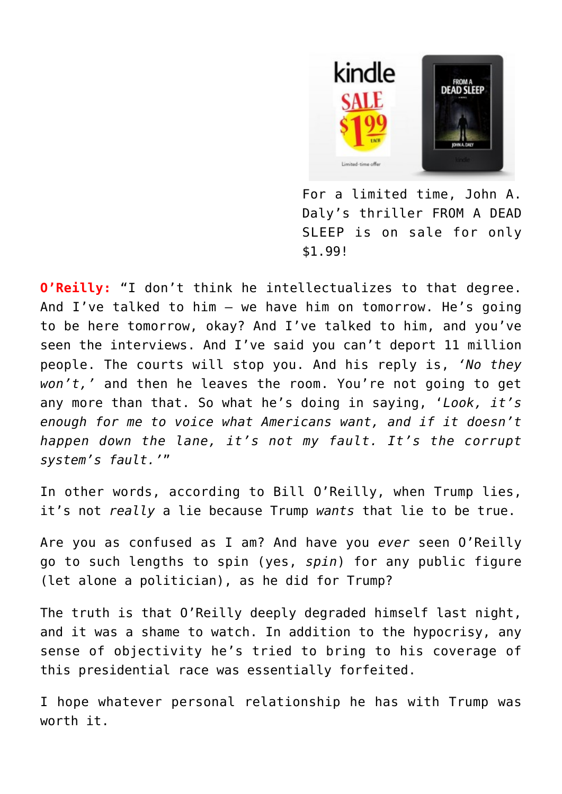

For a limited time, John A. Daly's thriller FROM A DEAD SLEEP is on sale for only \$1.99!

**O'Reilly:** "I don't think he intellectualizes to that degree. And I've talked to him — we have him on tomorrow. He's going to be here tomorrow, okay? And I've talked to him, and you've seen the interviews. And I've said you can't deport 11 million people. The courts will stop you. And his reply is, *'No they won't,'* and then he leaves the room. You're not going to get any more than that. So what he's doing in saying, '*Look, it's enough for me to voice what Americans want, and if it doesn't happen down the lane, it's not my fault. It's the corrupt system's fault.'*"

In other words, according to Bill O'Reilly, when Trump lies, it's not *really* a lie because Trump *wants* that lie to be true.

Are you as confused as I am? And have you *ever* seen O'Reilly go to such lengths to spin (yes, *spin*) for any public figure (let alone a politician), as he did for Trump?

The truth is that O'Reilly deeply degraded himself last night, and it was a shame to watch. In addition to the hypocrisy, any sense of objectivity he's tried to bring to his coverage of this presidential race was essentially forfeited.

I hope whatever personal relationship he has with Trump was worth it.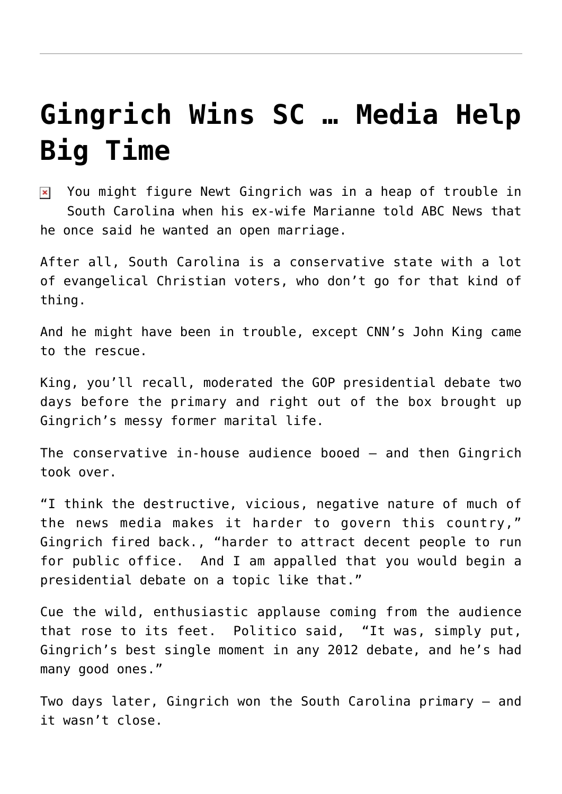## **[Gingrich Wins SC … Media Help](https://bernardgoldberg.com/gingrich-wins-sc-media-helps-big-time/) [Big Time](https://bernardgoldberg.com/gingrich-wins-sc-media-helps-big-time/)**

 $\overline{\mathbf{x}}$  You might figure Newt Gingrich was in a heap of trouble in South Carolina when his ex-wife Marianne told ABC News that he once said he wanted an open marriage.

After all, South Carolina is a conservative state with a lot of evangelical Christian voters, who don't go for that kind of thing.

And he might have been in trouble, except CNN's John King came to the rescue.

King, you'll recall, moderated the GOP presidential debate two days before the primary and right out of the box brought up Gingrich's messy former marital life.

The conservative in-house audience booed — and then Gingrich took over.

"I think the destructive, vicious, negative nature of much of the news media makes it harder to govern this country," Gingrich fired back., "harder to attract decent people to run for public office. And I am appalled that you would begin a presidential debate on a topic like that."

Cue the wild, enthusiastic applause coming from the audience that rose to its feet. Politico said, "It was, simply put, Gingrich's best single moment in any 2012 debate, and he's had many good ones."

Two days later, Gingrich won the South Carolina primary — and it wasn't close.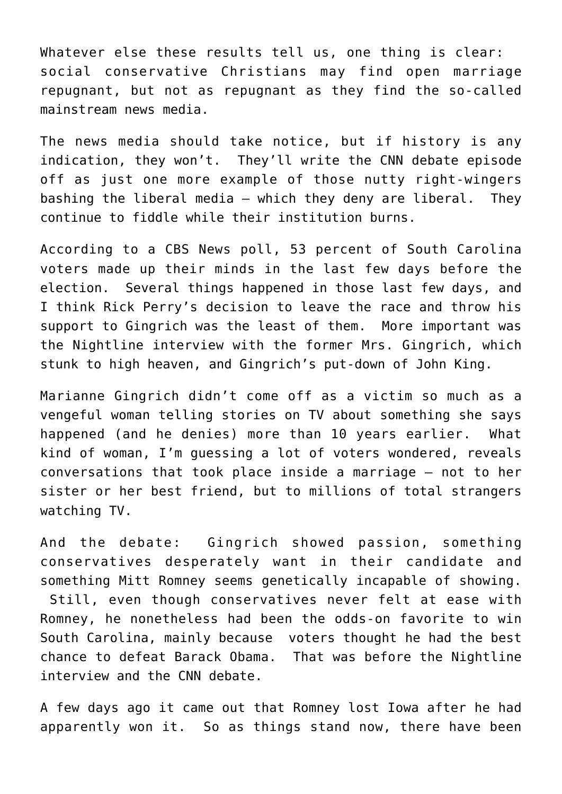Whatever else these results tell us, one thing is clear: social conservative Christians may find open marriage repugnant, but not as repugnant as they find the so-called mainstream news media.

The news media should take notice, but if history is any indication, they won't. They'll write the CNN debate episode off as just one more example of those nutty right-wingers bashing the liberal media – which they deny are liberal. They continue to fiddle while their institution burns.

According to a CBS News poll, 53 percent of South Carolina voters made up their minds in the last few days before the election. Several things happened in those last few days, and I think Rick Perry's decision to leave the race and throw his support to Gingrich was the least of them. More important was the Nightline interview with the former Mrs. Gingrich, which stunk to high heaven, and Gingrich's put-down of John King.

Marianne Gingrich didn't come off as a victim so much as a vengeful woman telling stories on TV about something she says happened (and he denies) more than 10 years earlier. What kind of woman, I'm guessing a lot of voters wondered, reveals conversations that took place inside a marriage – not to her sister or her best friend, but to millions of total strangers watching TV.

And the debate: Gingrich showed passion, something conservatives desperately want in their candidate and something Mitt Romney seems genetically incapable of showing. Still, even though conservatives never felt at ease with Romney, he nonetheless had been the odds-on favorite to win South Carolina, mainly because voters thought he had the best chance to defeat Barack Obama. That was before the Nightline interview and the CNN debate.

A few days ago it came out that Romney lost Iowa after he had apparently won it. So as things stand now, there have been